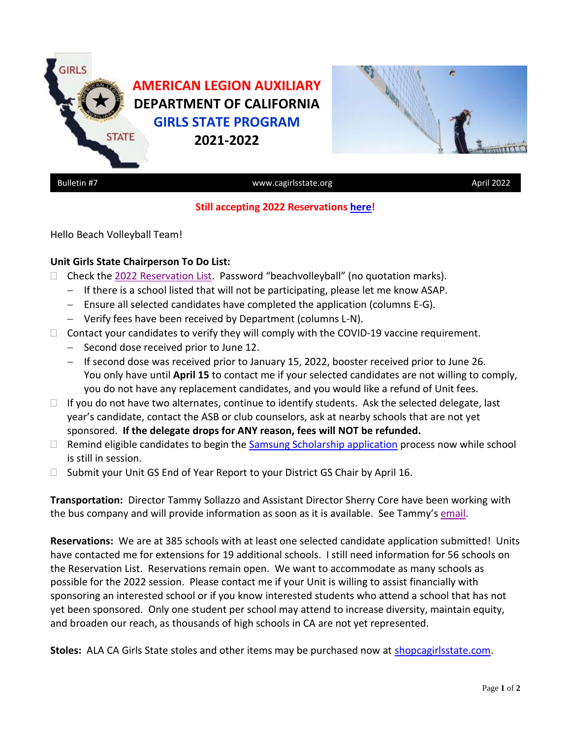



# **Still accepting 2022 Reservations [here!](https://forms.gle/Dj76Wm6bNJ563jg1A)**

Hello Beach Volleyball Team!

### **Unit Girls State Chairperson To Do List:**

- $\Box$  Check the [2022 Reservation List](https://www.cagirlsstate.org/units-districts). Password "beachvolleyball" (no quotation marks).
	- − If there is a school listed that will not be participating, please let me know ASAP.
	- − Ensure all selected candidates have completed the application (columns E-G).
	- − Verify fees have been received by Department (columns L-N).
- $\Box$  Contact your candidates to verify they will comply with the COVID-19 vaccine requirement.
	- − Second dose received prior to June 12.
	- − If second dose was received prior to January 15, 2022, booster received prior to June 26. You only have until **April 15** to contact me if your selected candidates are not willing to comply, you do not have any replacement candidates, and you would like a refund of Unit fees.
- $\Box$  If you do not have two alternates, continue to identify students. Ask the selected delegate, last year's candidate, contact the ASB or club counselors, ask at nearby schools that are not yet sponsored. **If the delegate drops for ANY reason, fees will NOT be refunded.**
- □ Remind eligible candidates to begin the [Samsung Scholarship application](https://www.legion.org/scholarships/samsung) process now while school is still in session.
- $\Box$  Submit your Unit GS End of Year Report to your District GS Chair by April 16.

**Transportation:** Director Tammy Sollazzo and Assistant Director Sherry Core have been working with the bus company and will provide information as soon as it is available. See Tammy'[s email.](https://docs.google.com/document/d/1zc8y4X05NGNzbz9WFv-U_TCL5cVKeIYCkrkkhaZNzhg/edit?usp=sharing)

**Reservations:** We are at 385 schools with at least one selected candidate application submitted! Units have contacted me for extensions for 19 additional schools. I still need information for 56 schools on the Reservation List. Reservations remain open. We want to accommodate as many schools as possible for the 2022 session. Please contact me if your Unit is willing to assist financially with sponsoring an interested school or if you know interested students who attend a school that has not yet been sponsored. Only one student per school may attend to increase diversity, maintain equity, and broaden our reach, as thousands of high schools in CA are not yet represented.

**Stoles:** ALA CA Girls State stoles and other items may be purchased now at **shopcagirlsstate.com**.